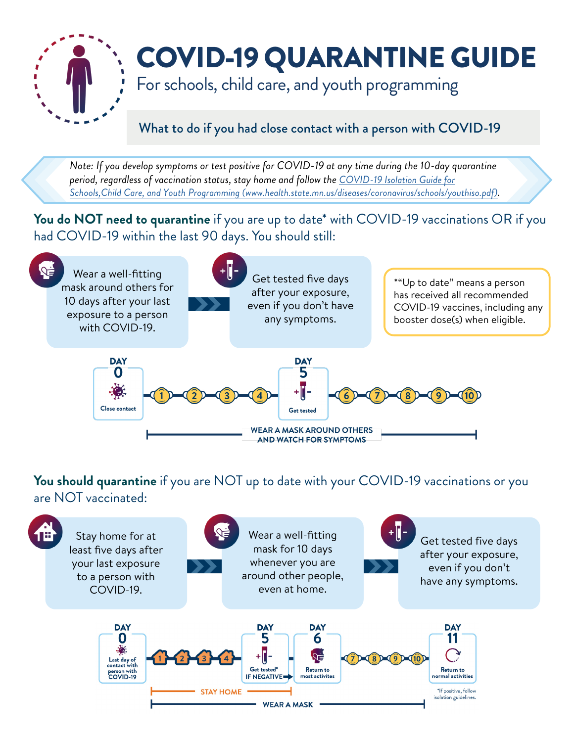

## COVID-19 QUARANTINE GUIDE

For schools, child care, and youth programming

## What to do if you had close contact with a person with COVID-19

*Note: If you develop symptoms or test positive for COVID-19 at any time during the 10-day quarantine period, regardless of vaccination status, stay home and follow the COVID-19 Isolation Guide for [Schools,Child Care, and Youth Programming \(www.health.state.mn.us/diseases/coronavirus/schools/youthiso.pdf\)](https://www.health.state.mn.us/diseases/coronavirus/schools/youthiso.pdf).*

You do NOT need to quarantine if you are up to date<sup>\*</sup> with COVID-19 vaccinations OR if you had COVID-19 within the last 90 days. You should still:



You should quarantine if you are NOT up to date with your COVID-19 vaccinations or you are NOT vaccinated: